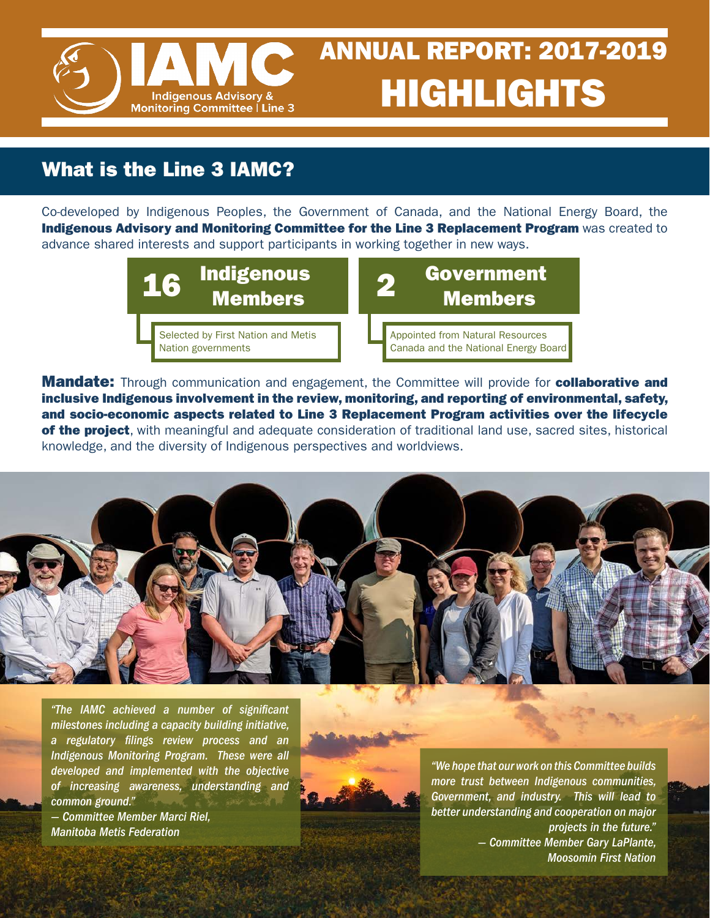

## What is the Line 3 IAMC?

Co-developed by Indigenous Peoples, the Government of Canada, and the National Energy Board, the Indigenous Advisory and Monitoring Committee for the Line 3 Replacement Program was created to advance shared interests and support participants in working together in new ways.



**Mandate:** Through communication and engagement, the Committee will provide for **collaborative and** inclusive Indigenous involvement in the review, monitoring, and reporting of environmental, safety, and socio-economic aspects related to Line 3 Replacement Program activities over the lifecycle of the project, with meaningful and adequate consideration of traditional land use, sacred sites, historical knowledge, and the diversity of Indigenous perspectives and worldviews.



*"The IAMC achieved a number of significant milestones including a capacity building initiative, a regulatory filings review process and an Indigenous Monitoring Program. These were all developed and implemented with the objective of increasing awareness, understanding and common ground."*

*— Committee Member Marci Riel, Manitoba Metis Federation*



*"We hope that our work on this Committee builds more trust between Indigenous communities, Government, and industry. This will lead to better understanding and cooperation on major projects in the future." — Committee Member Gary LaPlante, Moosomin First Nation*